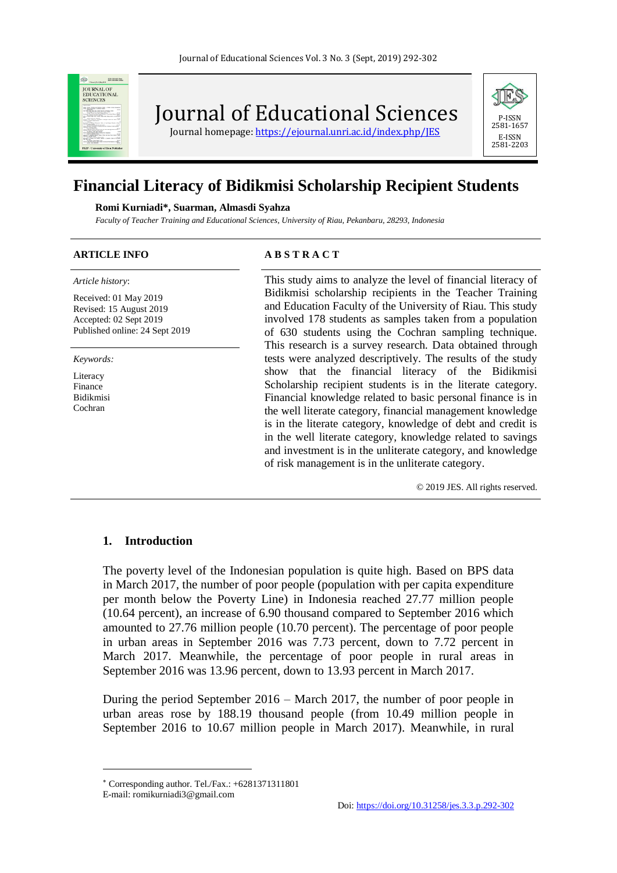

Journal of Educational Sciences

Journal homepage:<https://ejournal.unri.ac.id/index.php/JES>



# **Financial Literacy of Bidikmisi Scholarship Recipient Students**

#### **Romi Kurniadi\*, Suarman, Almasdi Syahza**

*Faculty of Teacher Training and Educational Sciences, University of Riau, Pekanbaru, 28293, Indonesia* 

#### *Article history*: Received: 01 May 2019 Revised: 15 August 2019 Accepted: 02 Sept 2019 Published online: 24 Sept 2019

*Keywords:*

Literacy Finance Bidikmisi Cochran

# **ARTICLE INFO A B S T R A C T**

This study aims to analyze the level of financial literacy of Bidikmisi scholarship recipients in the Teacher Training and Education Faculty of the University of Riau. This study involved 178 students as samples taken from a population of 630 students using the Cochran sampling technique. This research is a survey research. Data obtained through tests were analyzed descriptively. The results of the study show that the financial literacy of the Bidikmisi Scholarship recipient students is in the literate category. Financial knowledge related to basic personal finance is in the well literate category, financial management knowledge is in the literate category, knowledge of debt and credit is in the well literate category, knowledge related to savings and investment is in the unliterate category, and knowledge of risk management is in the unliterate category.

© 2019 JES. All rights reserved.

#### **1. Introduction**

The poverty level of the Indonesian population is quite high. Based on BPS data in March 2017, the number of poor people (population with per capita expenditure per month below the Poverty Line) in Indonesia reached 27.77 million people (10.64 percent), an increase of 6.90 thousand compared to September 2016 which amounted to 27.76 million people (10.70 percent). The percentage of poor people in urban areas in September 2016 was 7.73 percent, down to 7.72 percent in March 2017. Meanwhile, the percentage of poor people in rural areas in September 2016 was 13.96 percent, down to 13.93 percent in March 2017.

During the period September 2016 – March 2017, the number of poor people in urban areas rose by 188.19 thousand people (from 10.49 million people in September 2016 to 10.67 million people in March 2017). Meanwhile, in rural

l

Corresponding author. Tel./Fax.: +6281371311801

E-mail: romikurniadi3@gmail.com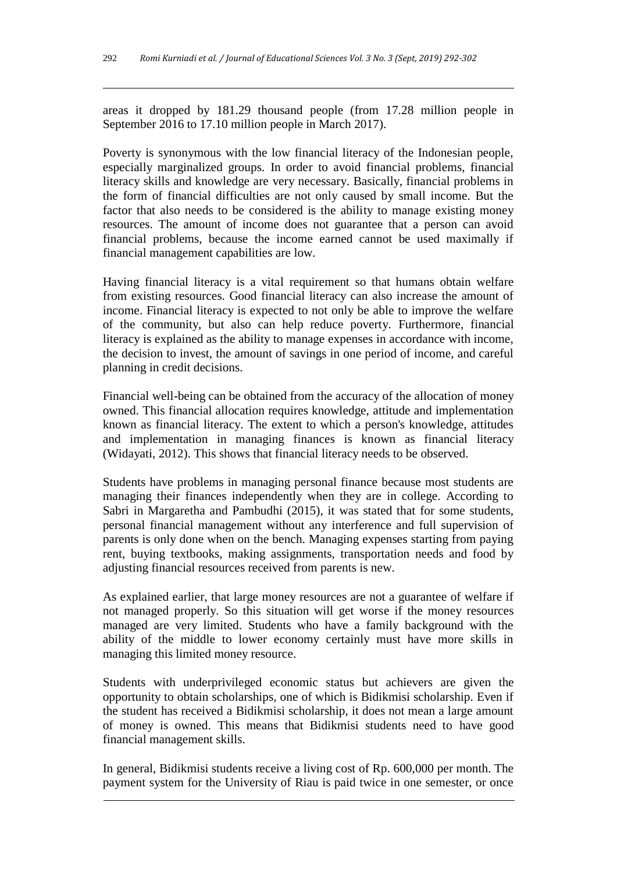areas it dropped by 181.29 thousand people (from 17.28 million people in September 2016 to 17.10 million people in March 2017).

Poverty is synonymous with the low financial literacy of the Indonesian people, especially marginalized groups. In order to avoid financial problems, financial literacy skills and knowledge are very necessary. Basically, financial problems in the form of financial difficulties are not only caused by small income. But the factor that also needs to be considered is the ability to manage existing money resources. The amount of income does not guarantee that a person can avoid financial problems, because the income earned cannot be used maximally if financial management capabilities are low.

Having financial literacy is a vital requirement so that humans obtain welfare from existing resources. Good financial literacy can also increase the amount of income. Financial literacy is expected to not only be able to improve the welfare of the community, but also can help reduce poverty. Furthermore, financial literacy is explained as the ability to manage expenses in accordance with income, the decision to invest, the amount of savings in one period of income, and careful planning in credit decisions.

Financial well-being can be obtained from the accuracy of the allocation of money owned. This financial allocation requires knowledge, attitude and implementation known as financial literacy. The extent to which a person's knowledge, attitudes and implementation in managing finances is known as financial literacy (Widayati, 2012). This shows that financial literacy needs to be observed.

Students have problems in managing personal finance because most students are managing their finances independently when they are in college. According to Sabri in Margaretha and Pambudhi (2015), it was stated that for some students, personal financial management without any interference and full supervision of parents is only done when on the bench. Managing expenses starting from paying rent, buying textbooks, making assignments, transportation needs and food by adjusting financial resources received from parents is new.

As explained earlier, that large money resources are not a guarantee of welfare if not managed properly. So this situation will get worse if the money resources managed are very limited. Students who have a family background with the ability of the middle to lower economy certainly must have more skills in managing this limited money resource.

Students with underprivileged economic status but achievers are given the opportunity to obtain scholarships, one of which is Bidikmisi scholarship. Even if the student has received a Bidikmisi scholarship, it does not mean a large amount of money is owned. This means that Bidikmisi students need to have good financial management skills.

In general, Bidikmisi students receive a living cost of Rp. 600,000 per month. The payment system for the University of Riau is paid twice in one semester, or once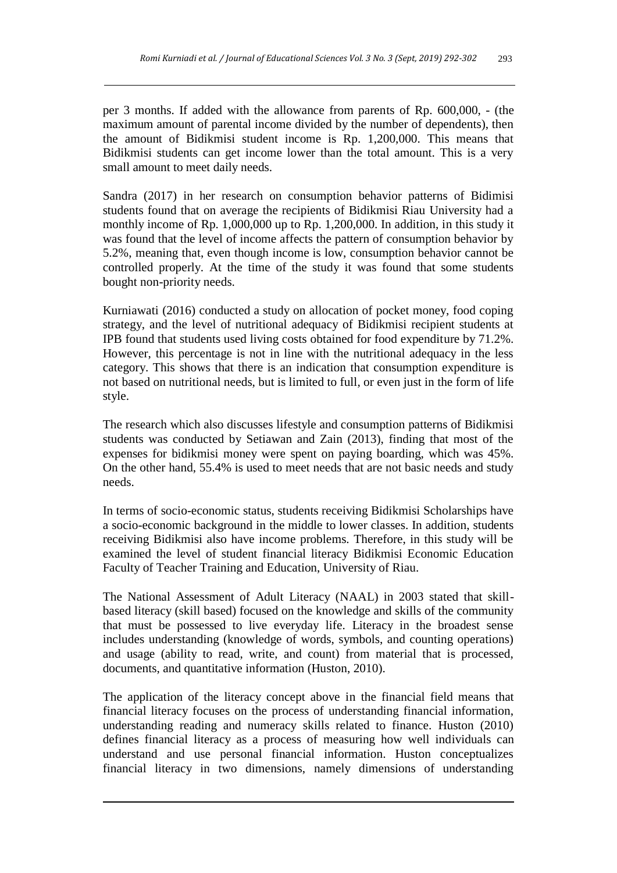per 3 months. If added with the allowance from parents of Rp. 600,000, - (the maximum amount of parental income divided by the number of dependents), then the amount of Bidikmisi student income is Rp. 1,200,000. This means that Bidikmisi students can get income lower than the total amount. This is a very small amount to meet daily needs.

Sandra (2017) in her research on consumption behavior patterns of Bidimisi students found that on average the recipients of Bidikmisi Riau University had a monthly income of Rp.  $1,000,000$  up to Rp. 1,200,000. In addition, in this study it was found that the level of income affects the pattern of consumption behavior by 5.2%, meaning that, even though income is low, consumption behavior cannot be controlled properly. At the time of the study it was found that some students bought non-priority needs.

Kurniawati (2016) conducted a study on allocation of pocket money, food coping strategy, and the level of nutritional adequacy of Bidikmisi recipient students at IPB found that students used living costs obtained for food expenditure by 71.2%. However, this percentage is not in line with the nutritional adequacy in the less category. This shows that there is an indication that consumption expenditure is not based on nutritional needs, but is limited to full, or even just in the form of life style.

The research which also discusses lifestyle and consumption patterns of Bidikmisi students was conducted by Setiawan and Zain (2013), finding that most of the expenses for bidikmisi money were spent on paying boarding, which was 45%. On the other hand, 55.4% is used to meet needs that are not basic needs and study needs.

In terms of socio-economic status, students receiving Bidikmisi Scholarships have a socio-economic background in the middle to lower classes. In addition, students receiving Bidikmisi also have income problems. Therefore, in this study will be examined the level of student financial literacy Bidikmisi Economic Education Faculty of Teacher Training and Education, University of Riau.

The National Assessment of Adult Literacy (NAAL) in 2003 stated that skillbased literacy (skill based) focused on the knowledge and skills of the community that must be possessed to live everyday life. Literacy in the broadest sense includes understanding (knowledge of words, symbols, and counting operations) and usage (ability to read, write, and count) from material that is processed, documents, and quantitative information (Huston, 2010).

The application of the literacy concept above in the financial field means that financial literacy focuses on the process of understanding financial information, understanding reading and numeracy skills related to finance. Huston (2010) defines financial literacy as a process of measuring how well individuals can understand and use personal financial information. Huston conceptualizes financial literacy in two dimensions, namely dimensions of understanding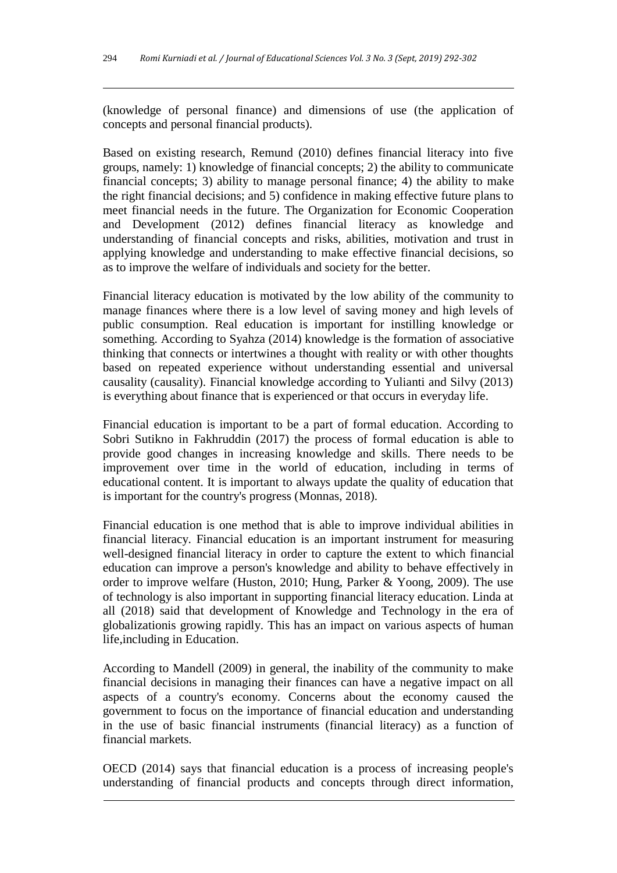(knowledge of personal finance) and dimensions of use (the application of concepts and personal financial products).

Based on existing research, Remund (2010) defines financial literacy into five groups, namely: 1) knowledge of financial concepts; 2) the ability to communicate financial concepts; 3) ability to manage personal finance; 4) the ability to make the right financial decisions; and 5) confidence in making effective future plans to meet financial needs in the future. The Organization for Economic Cooperation and Development (2012) defines financial literacy as knowledge and understanding of financial concepts and risks, abilities, motivation and trust in applying knowledge and understanding to make effective financial decisions, so as to improve the welfare of individuals and society for the better.

Financial literacy education is motivated by the low ability of the community to manage finances where there is a low level of saving money and high levels of public consumption. Real education is important for instilling knowledge or something. According to Syahza (2014) knowledge is the formation of associative thinking that connects or intertwines a thought with reality or with other thoughts based on repeated experience without understanding essential and universal causality (causality). Financial knowledge according to Yulianti and Silvy (2013) is everything about finance that is experienced or that occurs in everyday life.

Financial education is important to be a part of formal education. According to Sobri Sutikno in Fakhruddin (2017) the process of formal education is able to provide good changes in increasing knowledge and skills. There needs to be improvement over time in the world of education, including in terms of educational content. It is important to always update the quality of education that is important for the country's progress (Monnas, 2018).

Financial education is one method that is able to improve individual abilities in financial literacy. Financial education is an important instrument for measuring well-designed financial literacy in order to capture the extent to which financial education can improve a person's knowledge and ability to behave effectively in order to improve welfare (Huston, 2010; Hung, Parker & Yoong, 2009). The use of technology is also important in supporting financial literacy education. Linda at all (2018) said that development of Knowledge and Technology in the era of globalizationis growing rapidly. This has an impact on various aspects of human life,including in Education.

According to Mandell (2009) in general, the inability of the community to make financial decisions in managing their finances can have a negative impact on all aspects of a country's economy. Concerns about the economy caused the government to focus on the importance of financial education and understanding in the use of basic financial instruments (financial literacy) as a function of financial markets.

OECD (2014) says that financial education is a process of increasing people's understanding of financial products and concepts through direct information,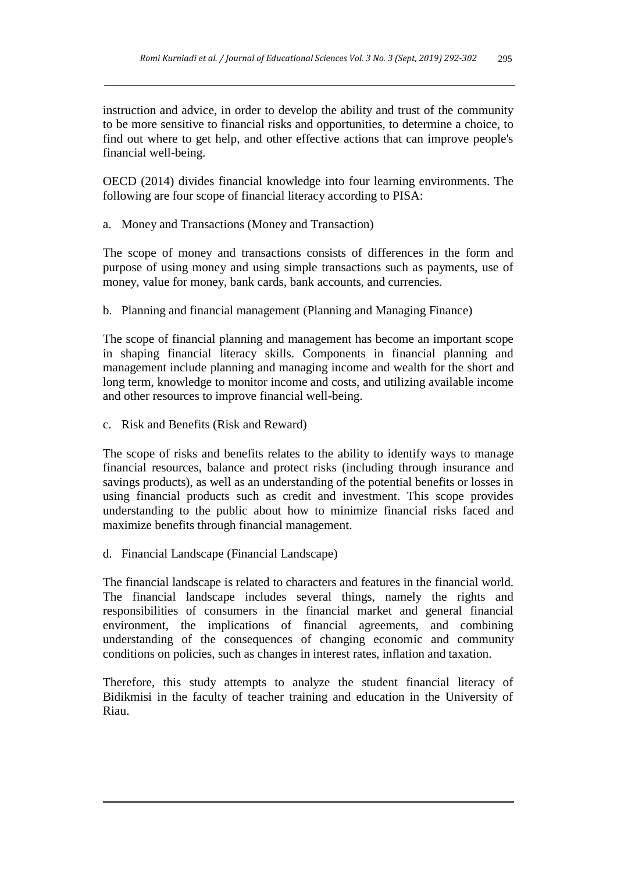instruction and advice, in order to develop the ability and trust of the community to be more sensitive to financial risks and opportunities, to determine a choice, to find out where to get help, and other effective actions that can improve people's financial well-being.

OECD (2014) divides financial knowledge into four learning environments. The following are four scope of financial literacy according to PISA:

a. Money and Transactions (Money and Transaction)

The scope of money and transactions consists of differences in the form and purpose of using money and using simple transactions such as payments, use of money, value for money, bank cards, bank accounts, and currencies.

b. Planning and financial management (Planning and Managing Finance)

The scope of financial planning and management has become an important scope in shaping financial literacy skills. Components in financial planning and management include planning and managing income and wealth for the short and long term, knowledge to monitor income and costs, and utilizing available income and other resources to improve financial well-being.

c. Risk and Benefits (Risk and Reward)

The scope of risks and benefits relates to the ability to identify ways to manage financial resources, balance and protect risks (including through insurance and savings products), as well as an understanding of the potential benefits or losses in using financial products such as credit and investment. This scope provides understanding to the public about how to minimize financial risks faced and maximize benefits through financial management.

d. Financial Landscape (Financial Landscape)

The financial landscape is related to characters and features in the financial world. The financial landscape includes several things, namely the rights and responsibilities of consumers in the financial market and general financial environment, the implications of financial agreements, and combining understanding of the consequences of changing economic and community conditions on policies, such as changes in interest rates, inflation and taxation.

Therefore, this study attempts to analyze the student financial literacy of Bidikmisi in the faculty of teacher training and education in the University of Riau.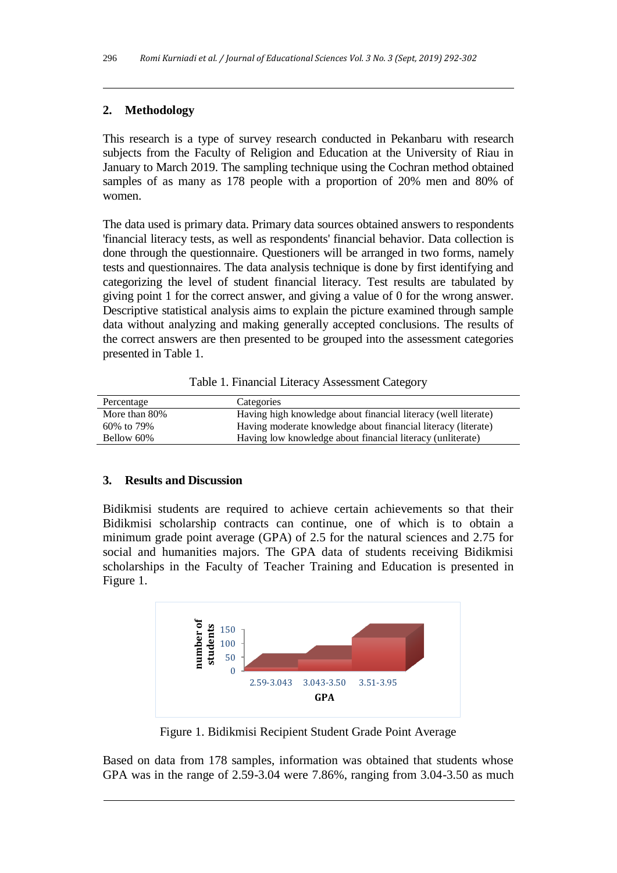# **2. Methodology**

This research is a type of survey research conducted in Pekanbaru with research subjects from the Faculty of Religion and Education at the University of Riau in January to March 2019. The sampling technique using the Cochran method obtained samples of as many as 178 people with a proportion of 20% men and 80% of women.

The data used is primary data. Primary data sources obtained answers to respondents 'financial literacy tests, as well as respondents' financial behavior. Data collection is done through the questionnaire. Questioners will be arranged in two forms, namely tests and questionnaires. The data analysis technique is done by first identifying and categorizing the level of student financial literacy. Test results are tabulated by giving point 1 for the correct answer, and giving a value of 0 for the wrong answer. Descriptive statistical analysis aims to explain the picture examined through sample data without analyzing and making generally accepted conclusions. The results of the correct answers are then presented to be grouped into the assessment categories presented in Table 1.

| Table 1. Financial Literacy Assessment Category |  |  |  |
|-------------------------------------------------|--|--|--|
|-------------------------------------------------|--|--|--|

| Percentage    | Categories                                                     |
|---------------|----------------------------------------------------------------|
| More than 80% | Having high knowledge about financial literacy (well literate) |
| 60\% to 79\%  | Having moderate knowledge about financial literacy (literate)  |
| Bellow 60%    | Having low knowledge about financial literacy (unliterate)     |
|               |                                                                |

# **3. Results and Discussion**

Bidikmisi students are required to achieve certain achievements so that their Bidikmisi scholarship contracts can continue, one of which is to obtain a minimum grade point average (GPA) of 2.5 for the natural sciences and 2.75 for social and humanities majors. The GPA data of students receiving Bidikmisi scholarships in the Faculty of Teacher Training and Education is presented in Figure 1.



Figure 1. Bidikmisi Recipient Student Grade Point Average

Based on data from 178 samples, information was obtained that students whose GPA was in the range of 2.59-3.04 were 7.86%, ranging from 3.04-3.50 as much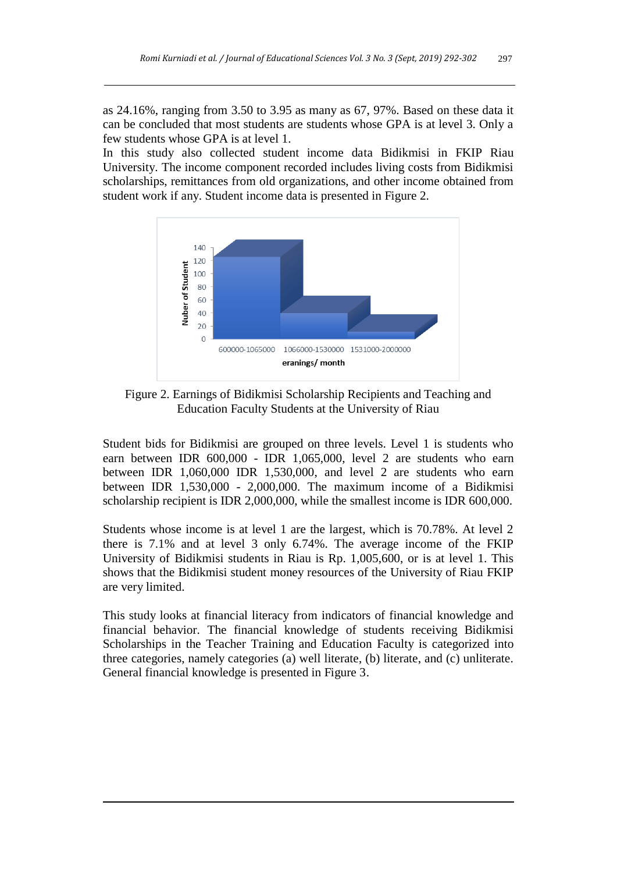as 24.16%, ranging from 3.50 to 3.95 as many as 67, 97%. Based on these data it can be concluded that most students are students whose GPA is at level 3. Only a few students whose GPA is at level 1.

In this study also collected student income data Bidikmisi in FKIP Riau University. The income component recorded includes living costs from Bidikmisi scholarships, remittances from old organizations, and other income obtained from student work if any. Student income data is presented in Figure 2.



Figure 2. Earnings of Bidikmisi Scholarship Recipients and Teaching and Education Faculty Students at the University of Riau

Student bids for Bidikmisi are grouped on three levels. Level 1 is students who earn between IDR 600,000 - IDR 1,065,000, level 2 are students who earn between IDR 1,060,000 IDR 1,530,000, and level 2 are students who earn between IDR 1,530,000 - 2,000,000. The maximum income of a Bidikmisi scholarship recipient is IDR 2,000,000, while the smallest income is IDR 600,000.

Students whose income is at level 1 are the largest, which is 70.78%. At level 2 there is 7.1% and at level 3 only 6.74%. The average income of the FKIP University of Bidikmisi students in Riau is Rp. 1,005,600, or is at level 1. This shows that the Bidikmisi student money resources of the University of Riau FKIP are very limited.

This study looks at financial literacy from indicators of financial knowledge and financial behavior. The financial knowledge of students receiving Bidikmisi Scholarships in the Teacher Training and Education Faculty is categorized into three categories, namely categories (a) well literate, (b) literate, and (c) unliterate. General financial knowledge is presented in Figure 3.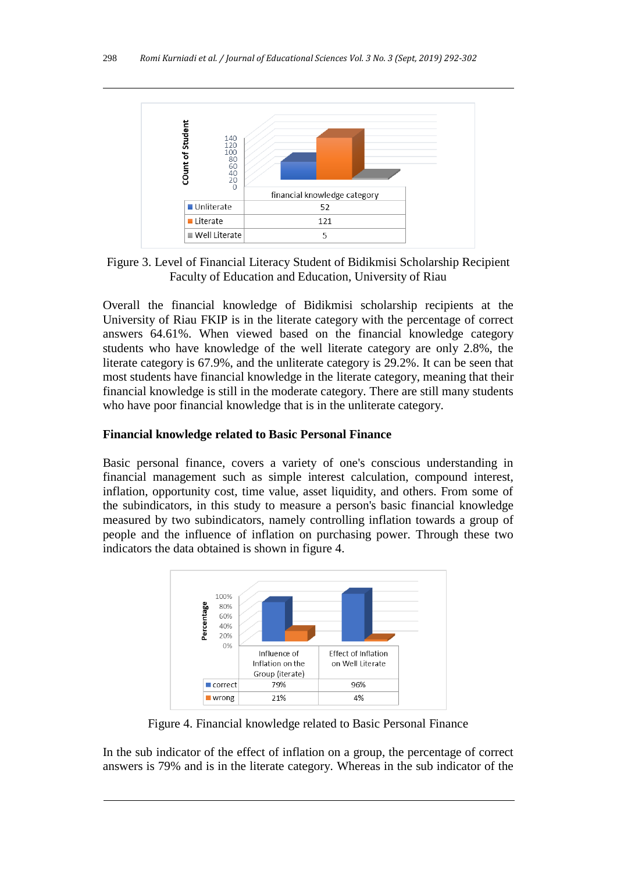

Figure 3. Level of Financial Literacy Student of Bidikmisi Scholarship Recipient Faculty of Education and Education, University of Riau

Overall the financial knowledge of Bidikmisi scholarship recipients at the University of Riau FKIP is in the literate category with the percentage of correct answers 64.61%. When viewed based on the financial knowledge category students who have knowledge of the well literate category are only 2.8%, the literate category is 67.9%, and the unliterate category is 29.2%. It can be seen that most students have financial knowledge in the literate category, meaning that their financial knowledge is still in the moderate category. There are still many students who have poor financial knowledge that is in the unliterate category.

### **Financial knowledge related to Basic Personal Finance**

Basic personal finance, covers a variety of one's conscious understanding in financial management such as simple interest calculation, compound interest, inflation, opportunity cost, time value, asset liquidity, and others. From some of the subindicators, in this study to measure a person's basic financial knowledge measured by two subindicators, namely controlling inflation towards a group of people and the influence of inflation on purchasing power. Through these two indicators the data obtained is shown in figure 4.



Figure 4. Financial knowledge related to Basic Personal Finance

In the sub indicator of the effect of inflation on a group, the percentage of correct answers is 79% and is in the literate category. Whereas in the sub indicator of the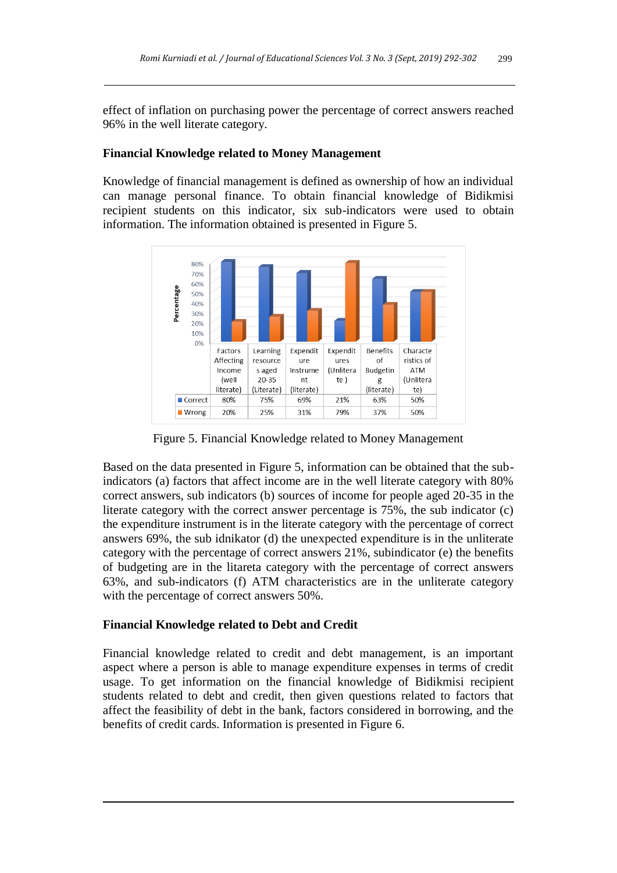effect of inflation on purchasing power the percentage of correct answers reached 96% in the well literate category.

#### **Financial Knowledge related to Money Management**

Knowledge of financial management is defined as ownership of how an individual can manage personal finance. To obtain financial knowledge of Bidikmisi recipient students on this indicator, six sub-indicators were used to obtain information. The information obtained is presented in Figure 5.



Figure 5. Financial Knowledge related to Money Management

Based on the data presented in Figure 5, information can be obtained that the subindicators (a) factors that affect income are in the well literate category with 80% correct answers, sub indicators (b) sources of income for people aged 20-35 in the literate category with the correct answer percentage is 75%, the sub indicator (c) the expenditure instrument is in the literate category with the percentage of correct answers 69%, the sub idnikator (d) the unexpected expenditure is in the unliterate category with the percentage of correct answers 21%, subindicator (e) the benefits of budgeting are in the litareta category with the percentage of correct answers 63%, and sub-indicators (f) ATM characteristics are in the unliterate category with the percentage of correct answers 50%.

#### **Financial Knowledge related to Debt and Credit**

Financial knowledge related to credit and debt management, is an important aspect where a person is able to manage expenditure expenses in terms of credit usage. To get information on the financial knowledge of Bidikmisi recipient students related to debt and credit, then given questions related to factors that affect the feasibility of debt in the bank, factors considered in borrowing, and the benefits of credit cards. Information is presented in Figure 6.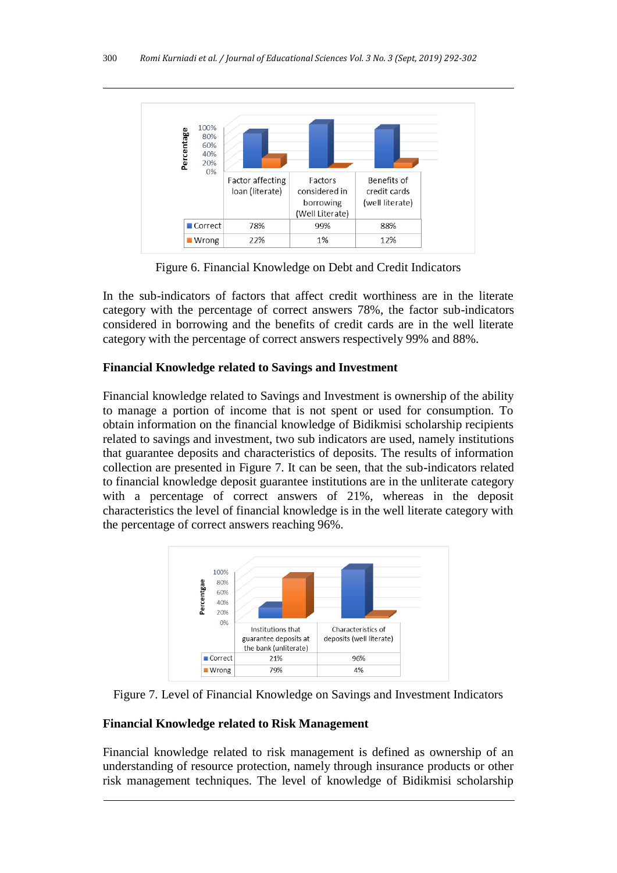

Figure 6. Financial Knowledge on Debt and Credit Indicators

In the sub-indicators of factors that affect credit worthiness are in the literate category with the percentage of correct answers 78%, the factor sub-indicators considered in borrowing and the benefits of credit cards are in the well literate category with the percentage of correct answers respectively 99% and 88%.

# **Financial Knowledge related to Savings and Investment**

Financial knowledge related to Savings and Investment is ownership of the ability to manage a portion of income that is not spent or used for consumption. To obtain information on the financial knowledge of Bidikmisi scholarship recipients related to savings and investment, two sub indicators are used, namely institutions that guarantee deposits and characteristics of deposits. The results of information collection are presented in Figure 7. It can be seen, that the sub-indicators related to financial knowledge deposit guarantee institutions are in the unliterate category with a percentage of correct answers of 21%, whereas in the deposit characteristics the level of financial knowledge is in the well literate category with the percentage of correct answers reaching 96%.



Figure 7. Level of Financial Knowledge on Savings and Investment Indicators

# **Financial Knowledge related to Risk Management**

Financial knowledge related to risk management is defined as ownership of an understanding of resource protection, namely through insurance products or other risk management techniques. The level of knowledge of Bidikmisi scholarship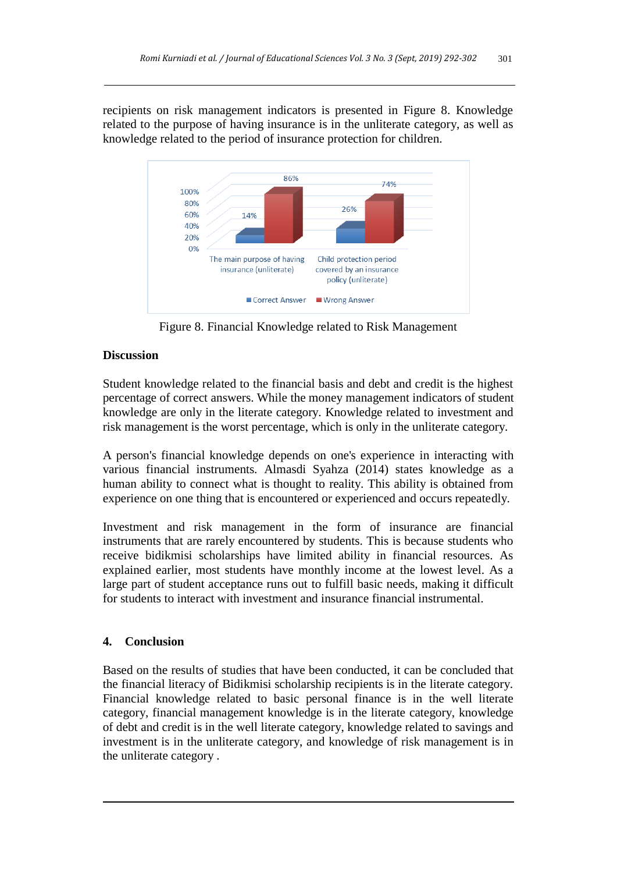recipients on risk management indicators is presented in Figure 8. Knowledge related to the purpose of having insurance is in the unliterate category, as well as knowledge related to the period of insurance protection for children.



Figure 8. Financial Knowledge related to Risk Management

# **Discussion**

Student knowledge related to the financial basis and debt and credit is the highest percentage of correct answers. While the money management indicators of student knowledge are only in the literate category. Knowledge related to investment and risk management is the worst percentage, which is only in the unliterate category.

A person's financial knowledge depends on one's experience in interacting with various financial instruments. Almasdi Syahza (2014) states knowledge as a human ability to connect what is thought to reality. This ability is obtained from experience on one thing that is encountered or experienced and occurs repeatedly.

Investment and risk management in the form of insurance are financial instruments that are rarely encountered by students. This is because students who receive bidikmisi scholarships have limited ability in financial resources. As explained earlier, most students have monthly income at the lowest level. As a large part of student acceptance runs out to fulfill basic needs, making it difficult for students to interact with investment and insurance financial instrumental.

# **4. Conclusion**

Based on the results of studies that have been conducted, it can be concluded that the financial literacy of Bidikmisi scholarship recipients is in the literate category. Financial knowledge related to basic personal finance is in the well literate category, financial management knowledge is in the literate category, knowledge of debt and credit is in the well literate category, knowledge related to savings and investment is in the unliterate category, and knowledge of risk management is in the unliterate category .